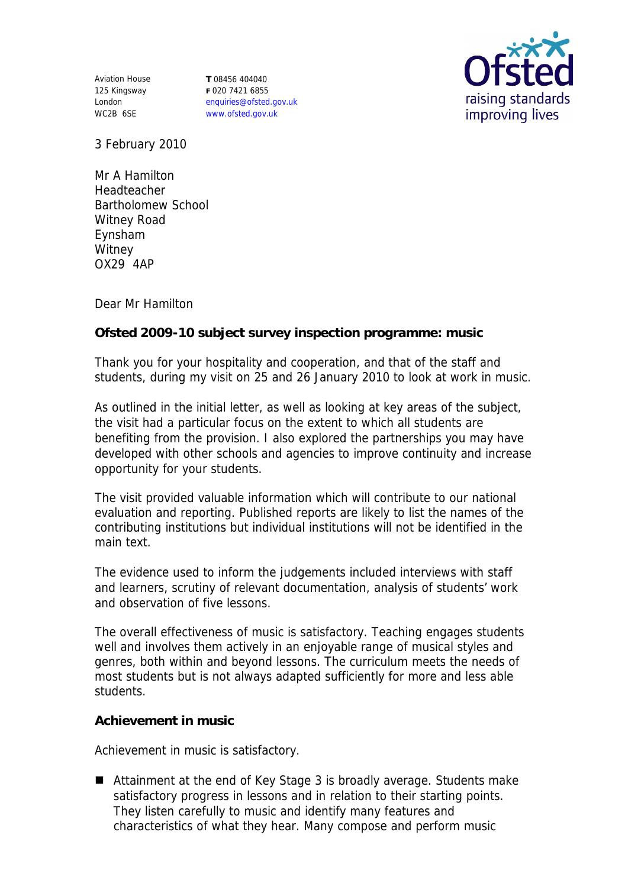Aviation House 125 Kingsway London WC2B 6SE

**T** 08456 404040 **F** 020 7421 6855 enquiries@ofsted.gov.uk www.ofsted.gov.uk



3 February 2010

Mr A Hamilton Headteacher Bartholomew School Witney Road Eynsham **Witney** OX29 4AP

Dear Mr Hamilton

**Ofsted 2009-10 subject survey inspection programme: music**

Thank you for your hospitality and cooperation, and that of the staff and students, during my visit on 25 and 26 January 2010 to look at work in music.

As outlined in the initial letter, as well as looking at key areas of the subject, the visit had a particular focus on the extent to which all students are benefiting from the provision. I also explored the partnerships you may have developed with other schools and agencies to improve continuity and increase opportunity for your students.

The visit provided valuable information which will contribute to our national evaluation and reporting. Published reports are likely to list the names of the contributing institutions but individual institutions will not be identified in the main text.

The evidence used to inform the judgements included interviews with staff and learners, scrutiny of relevant documentation, analysis of students' work and observation of five lessons.

The overall effectiveness of music is satisfactory. Teaching engages students well and involves them actively in an enjoyable range of musical styles and genres, both within and beyond lessons. The curriculum meets the needs of most students but is not always adapted sufficiently for more and less able students.

**Achievement in music**

Achievement in music is satisfactory.

■ Attainment at the end of Key Stage 3 is broadly average. Students make satisfactory progress in lessons and in relation to their starting points. They listen carefully to music and identify many features and characteristics of what they hear. Many compose and perform music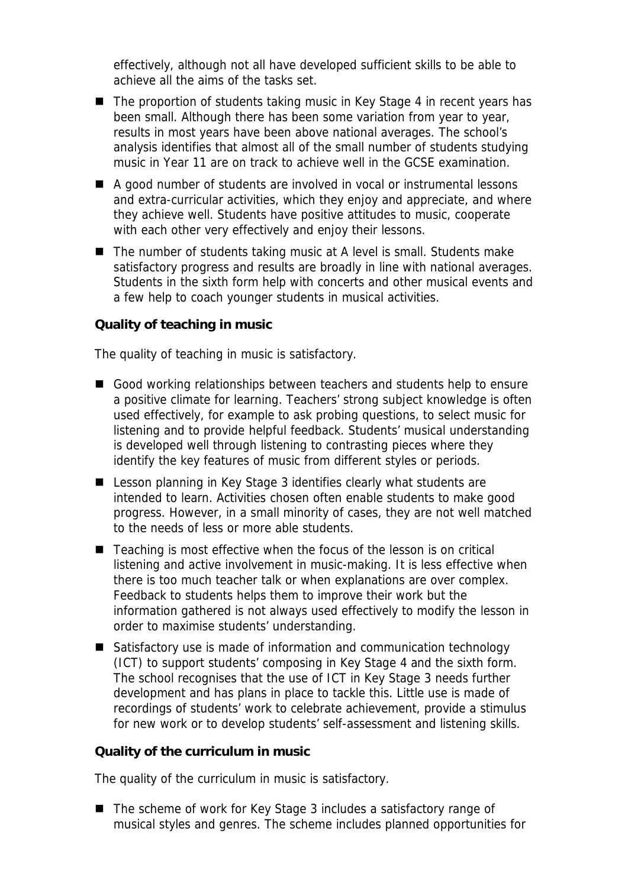effectively, although not all have developed sufficient skills to be able to achieve all the aims of the tasks set.

- The proportion of students taking music in Key Stage 4 in recent years has been small. Although there has been some variation from year to year, results in most years have been above national averages. The school's analysis identifies that almost all of the small number of students studying music in Year 11 are on track to achieve well in the GCSE examination.
- A good number of students are involved in vocal or instrumental lessons and extra-curricular activities, which they enjoy and appreciate, and where they achieve well. Students have positive attitudes to music, cooperate with each other very effectively and enjoy their lessons.
- The number of students taking music at A level is small. Students make satisfactory progress and results are broadly in line with national averages. Students in the sixth form help with concerts and other musical events and a few help to coach younger students in musical activities.

## **Quality of teaching in music**

The quality of teaching in music is satisfactory.

- Good working relationships between teachers and students help to ensure a positive climate for learning. Teachers' strong subject knowledge is often used effectively, for example to ask probing questions, to select music for listening and to provide helpful feedback. Students' musical understanding is developed well through listening to contrasting pieces where they identify the key features of music from different styles or periods.
- Lesson planning in Key Stage 3 identifies clearly what students are intended to learn. Activities chosen often enable students to make good progress. However, in a small minority of cases, they are not well matched to the needs of less or more able students.
- $\blacksquare$  Teaching is most effective when the focus of the lesson is on critical listening and active involvement in music-making. It is less effective when there is too much teacher talk or when explanations are over complex. Feedback to students helps them to improve their work but the information gathered is not always used effectively to modify the lesson in order to maximise students' understanding.
- Satisfactory use is made of information and communication technology (ICT) to support students' composing in Key Stage 4 and the sixth form. The school recognises that the use of ICT in Key Stage 3 needs further development and has plans in place to tackle this. Little use is made of recordings of students' work to celebrate achievement, provide a stimulus for new work or to develop students' self-assessment and listening skills.

**Quality of the curriculum in music**

The quality of the curriculum in music is satisfactory.

■ The scheme of work for Key Stage 3 includes a satisfactory range of musical styles and genres. The scheme includes planned opportunities for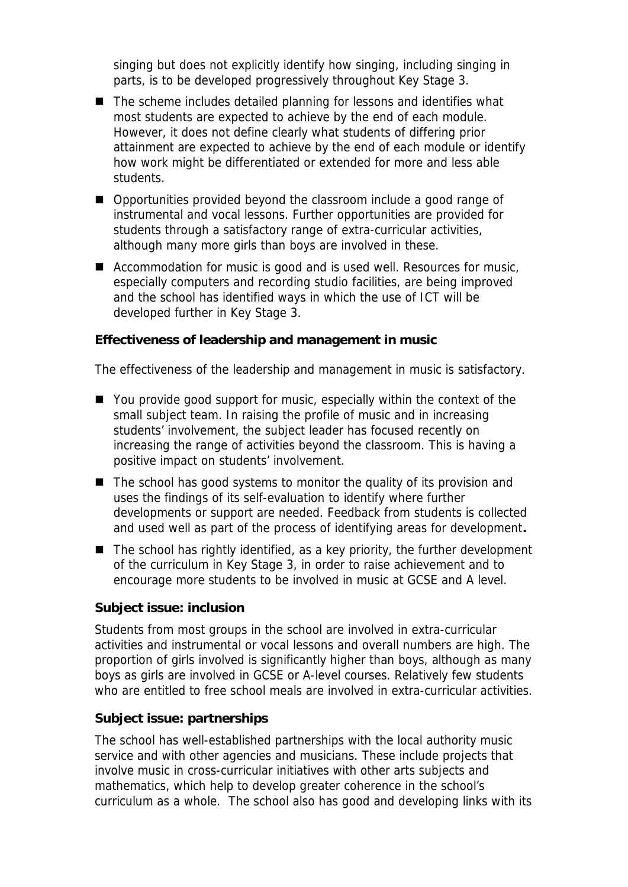singing but does not explicitly identify how singing, including singing in parts, is to be developed progressively throughout Key Stage 3.

- The scheme includes detailed planning for lessons and identifies what most students are expected to achieve by the end of each module. However, it does not define clearly what students of differing prior attainment are expected to achieve by the end of each module or identify how work might be differentiated or extended for more and less able students.
- Opportunities provided beyond the classroom include a good range of instrumental and vocal lessons. Further opportunities are provided for students through a satisfactory range of extra-curricular activities, although many more girls than boys are involved in these.
- Accommodation for music is good and is used well. Resources for music, especially computers and recording studio facilities, are being improved and the school has identified ways in which the use of ICT will be developed further in Key Stage 3.

**Effectiveness of leadership and management in music**

The effectiveness of the leadership and management in music is satisfactory.

- You provide good support for music, especially within the context of the small subject team. In raising the profile of music and in increasing students' involvement, the subject leader has focused recently on increasing the range of activities beyond the classroom. This is having a positive impact on students' involvement.
- $\blacksquare$  The school has good systems to monitor the quality of its provision and uses the findings of its self-evaluation to identify where further developments or support are needed. Feedback from students is collected and used well as part of the process of identifying areas for development**.**
- $\blacksquare$  The school has rightly identified, as a key priority, the further development of the curriculum in Key Stage 3, in order to raise achievement and to encourage more students to be involved in music at GCSE and A level.

## **Subject issue: inclusion**

Students from most groups in the school are involved in extra-curricular activities and instrumental or vocal lessons and overall numbers are high. The proportion of girls involved is significantly higher than boys, although as many boys as girls are involved in GCSE or A-level courses. Relatively few students who are entitled to free school meals are involved in extra-curricular activities.

## **Subject issue: partnerships**

The school has well-established partnerships with the local authority music service and with other agencies and musicians. These include projects that involve music in cross-curricular initiatives with other arts subjects and mathematics, which help to develop greater coherence in the school's curriculum as a whole. The school also has good and developing links with its